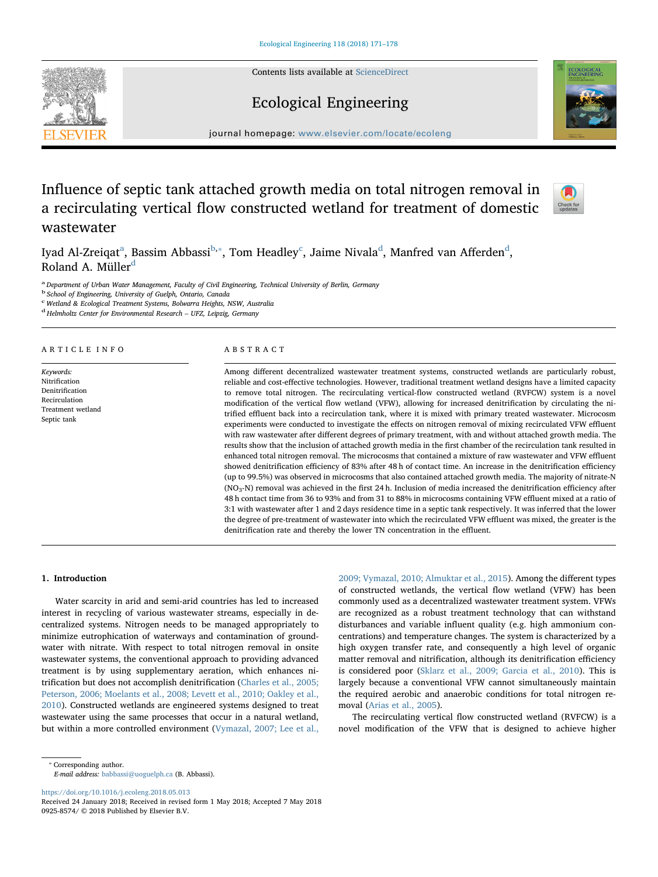Contents lists available at [ScienceDirect](http://www.sciencedirect.com/science/journal/09258574)







journal homepage: [www.elsevier.com/locate/ecoleng](https://www.elsevier.com/locate/ecoleng)

# Influence of septic tank attached growth media on total nitrogen removal in a recirculating vertical flow constructed wetland for treatment of domestic wastewater



Iy[a](#page-0-0)[d](#page-0-4) Al-Zreiqat $^{\rm a}$ , Bassim A[b](#page-0-1)bassi $^{\rm b, *}$ , Tom Headley $^{\rm c}$  $^{\rm c}$  $^{\rm c}$ , Jaime Nivala $^{\rm d}$ , Manfred van Afferden $^{\rm d}$ , Rolan[d](#page-0-4) A. Müller<sup>d</sup>

<span id="page-0-0"></span><sup>a</sup> Department of Urban Water Management, Faculty of Civil Engineering, Technical University of Berlin, Germany

<span id="page-0-1"></span><sup>b</sup> School of Engineering, University of Guelph, Ontario, Canada

<span id="page-0-3"></span>c Wetland & Ecological Treatment Systems, Bolwarra Heights, NSW, Australia

<span id="page-0-4"></span><sup>d</sup> Helmholtz Center for Environmental Research – UFZ, Leipzig, Germany

#### ARTICLE INFO

Keywords: Nitrification Denitrification Recirculation Treatment wetland Septic tank

#### ABSTRACT

Among different decentralized wastewater treatment systems, constructed wetlands are particularly robust, reliable and cost-effective technologies. However, traditional treatment wetland designs have a limited capacity to remove total nitrogen. The recirculating vertical-flow constructed wetland (RVFCW) system is a novel modification of the vertical flow wetland (VFW), allowing for increased denitrification by circulating the nitrified effluent back into a recirculation tank, where it is mixed with primary treated wastewater. Microcosm experiments were conducted to investigate the effects on nitrogen removal of mixing recirculated VFW effluent with raw wastewater after different degrees of primary treatment, with and without attached growth media. The results show that the inclusion of attached growth media in the first chamber of the recirculation tank resulted in enhanced total nitrogen removal. The microcosms that contained a mixture of raw wastewater and VFW effluent showed denitrification efficiency of 83% after 48 h of contact time. An increase in the denitrification efficiency (up to 99.5%) was observed in microcosms that also contained attached growth media. The majority of nitrate-N ( $NO<sub>3</sub>-N$ ) removal was achieved in the first 24 h. Inclusion of media increased the denitrification efficiency after 48 h contact time from 36 to 93% and from 31 to 88% in microcosms containing VFW effluent mixed at a ratio of 3:1 with wastewater after 1 and 2 days residence time in a septic tank respectively. It was inferred that the lower the degree of pre-treatment of wastewater into which the recirculated VFW effluent was mixed, the greater is the denitrification rate and thereby the lower TN concentration in the effluent.

## 1. Introduction

Water scarcity in arid and semi-arid countries has led to increased interest in recycling of various wastewater streams, especially in decentralized systems. Nitrogen needs to be managed appropriately to minimize eutrophication of waterways and contamination of groundwater with nitrate. With respect to total nitrogen removal in onsite wastewater systems, the conventional approach to providing advanced treatment is by using supplementary aeration, which enhances nitrification but does not accomplish denitrification [\(Charles et al., 2005;](#page-7-0) [Peterson, 2006; Moelants et al., 2008; Levett et al., 2010; Oakley et al.,](#page-7-0) [2010\)](#page-7-0). Constructed wetlands are engineered systems designed to treat wastewater using the same processes that occur in a natural wetland, but within a more controlled environment [\(Vymazal, 2007; Lee et al.,](#page-7-1)

[2009; Vymazal, 2010; Almuktar et al., 2015\)](#page-7-1). Among the different types of constructed wetlands, the vertical flow wetland (VFW) has been commonly used as a decentralized wastewater treatment system. VFWs are recognized as a robust treatment technology that can withstand disturbances and variable influent quality (e.g. high ammonium concentrations) and temperature changes. The system is characterized by a high oxygen transfer rate, and consequently a high level of organic matter removal and nitrification, although its denitrification efficiency is considered poor ([Sklarz et al., 2009; Garcia et al., 2010](#page-7-2)). This is largely because a conventional VFW cannot simultaneously maintain the required aerobic and anaerobic conditions for total nitrogen removal [\(Arias et al., 2005\)](#page-7-3).

The recirculating vertical flow constructed wetland (RVFCW) is a novel modification of the VFW that is designed to achieve higher

E-mail address: [babbassi@uoguelph.ca](mailto:babbassi@uoguelph.ca) (B. Abbassi).

<https://doi.org/10.1016/j.ecoleng.2018.05.013>

<span id="page-0-2"></span><sup>⁎</sup> Corresponding author.

Received 24 January 2018; Received in revised form 1 May 2018; Accepted 7 May 2018 0925-8574/ © 2018 Published by Elsevier B.V.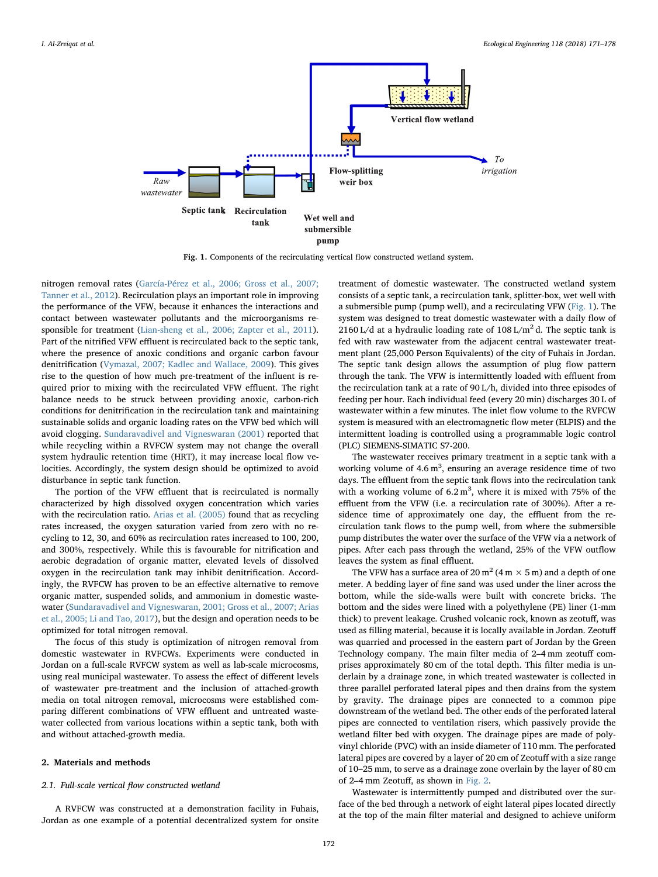<span id="page-1-0"></span>

Fig. 1. Components of the recirculating vertical flow constructed wetland system.

nitrogen removal rates [\(García-Pérez et al., 2006; Gross et al., 2007;](#page-7-4) [Tanner et al., 2012\)](#page-7-4). Recirculation plays an important role in improving the performance of the VFW, because it enhances the interactions and contact between wastewater pollutants and the microorganisms responsible for treatment [\(Lian-sheng et al., 2006; Zapter et al., 2011](#page-7-5)). Part of the nitrified VFW effluent is recirculated back to the septic tank, where the presence of anoxic conditions and organic carbon favour denitrification ([Vymazal, 2007; Kadlec and Wallace, 2009](#page-7-1)). This gives rise to the question of how much pre-treatment of the influent is required prior to mixing with the recirculated VFW effluent. The right balance needs to be struck between providing anoxic, carbon-rich conditions for denitrification in the recirculation tank and maintaining sustainable solids and organic loading rates on the VFW bed which will avoid clogging. [Sundaravadivel and Vigneswaran \(2001\)](#page-7-6) reported that while recycling within a RVFCW system may not change the overall system hydraulic retention time (HRT), it may increase local flow velocities. Accordingly, the system design should be optimized to avoid disturbance in septic tank function.

The portion of the VFW effluent that is recirculated is normally characterized by high dissolved oxygen concentration which varies with the recirculation ratio. [Arias et al. \(2005\)](#page-7-3) found that as recycling rates increased, the oxygen saturation varied from zero with no recycling to 12, 30, and 60% as recirculation rates increased to 100, 200, and 300%, respectively. While this is favourable for nitrification and aerobic degradation of organic matter, elevated levels of dissolved oxygen in the recirculation tank may inhibit denitrification. Accordingly, the RVFCW has proven to be an effective alternative to remove organic matter, suspended solids, and ammonium in domestic wastewater ([Sundaravadivel and Vigneswaran, 2001; Gross et al., 2007; Arias](#page-7-6) [et al., 2005; Li and Tao, 2017](#page-7-6)), but the design and operation needs to be optimized for total nitrogen removal.

The focus of this study is optimization of nitrogen removal from domestic wastewater in RVFCWs. Experiments were conducted in Jordan on a full-scale RVFCW system as well as lab-scale microcosms, using real municipal wastewater. To assess the effect of different levels of wastewater pre-treatment and the inclusion of attached-growth media on total nitrogen removal, microcosms were established comparing different combinations of VFW effluent and untreated wastewater collected from various locations within a septic tank, both with and without attached-growth media.

#### 2. Materials and methods

## <span id="page-1-1"></span>2.1. Full-scale vertical flow constructed wetland

A RVFCW was constructed at a demonstration facility in Fuhais, Jordan as one example of a potential decentralized system for onsite treatment of domestic wastewater. The constructed wetland system consists of a septic tank, a recirculation tank, splitter-box, wet well with a submersible pump (pump well), and a recirculating VFW [\(Fig. 1](#page-1-0)). The system was designed to treat domestic wastewater with a daily flow of 2160 L/d at a hydraulic loading rate of  $108 \text{ L/m}^2$  d. The septic tank is fed with raw wastewater from the adjacent central wastewater treatment plant (25,000 Person Equivalents) of the city of Fuhais in Jordan. The septic tank design allows the assumption of plug flow pattern through the tank. The VFW is intermittently loaded with effluent from the recirculation tank at a rate of 90 L/h, divided into three episodes of feeding per hour. Each individual feed (every 20 min) discharges 30 L of wastewater within a few minutes. The inlet flow volume to the RVFCW system is measured with an electromagnetic flow meter (ELPIS) and the intermittent loading is controlled using a programmable logic control (PLC) SIEMENS-SIMATIC S7-200.

The wastewater receives primary treatment in a septic tank with a working volume of  $4.6 \text{ m}^3$ , ensuring an average residence time of two days. The effluent from the septic tank flows into the recirculation tank with a working volume of  $6.2 \text{ m}^3$ , where it is mixed with 75% of the effluent from the VFW (i.e. a recirculation rate of 300%). After a residence time of approximately one day, the effluent from the recirculation tank flows to the pump well, from where the submersible pump distributes the water over the surface of the VFW via a network of pipes. After each pass through the wetland, 25% of the VFW outflow leaves the system as final effluent.

The VFW has a surface area of 20 m<sup>2</sup> (4 m  $\times$  5 m) and a depth of one meter. A bedding layer of fine sand was used under the liner across the bottom, while the side-walls were built with concrete bricks. The bottom and the sides were lined with a polyethylene (PE) liner (1-mm thick) to prevent leakage. Crushed volcanic rock, known as zeotuff, was used as filling material, because it is locally available in Jordan. Zeotuff was quarried and processed in the eastern part of Jordan by the Green Technology company. The main filter media of 2–4 mm zeotuff comprises approximately 80 cm of the total depth. This filter media is underlain by a drainage zone, in which treated wastewater is collected in three parallel perforated lateral pipes and then drains from the system by gravity. The drainage pipes are connected to a common pipe downstream of the wetland bed. The other ends of the perforated lateral pipes are connected to ventilation risers, which passively provide the wetland filter bed with oxygen. The drainage pipes are made of polyvinyl chloride (PVC) with an inside diameter of 110 mm. The perforated lateral pipes are covered by a layer of 20 cm of Zeotuff with a size range of 10–25 mm, to serve as a drainage zone overlain by the layer of 80 cm of 2–4 mm Zeotuff, as shown in [Fig. 2](#page-2-0).

Wastewater is intermittently pumped and distributed over the surface of the bed through a network of eight lateral pipes located directly at the top of the main filter material and designed to achieve uniform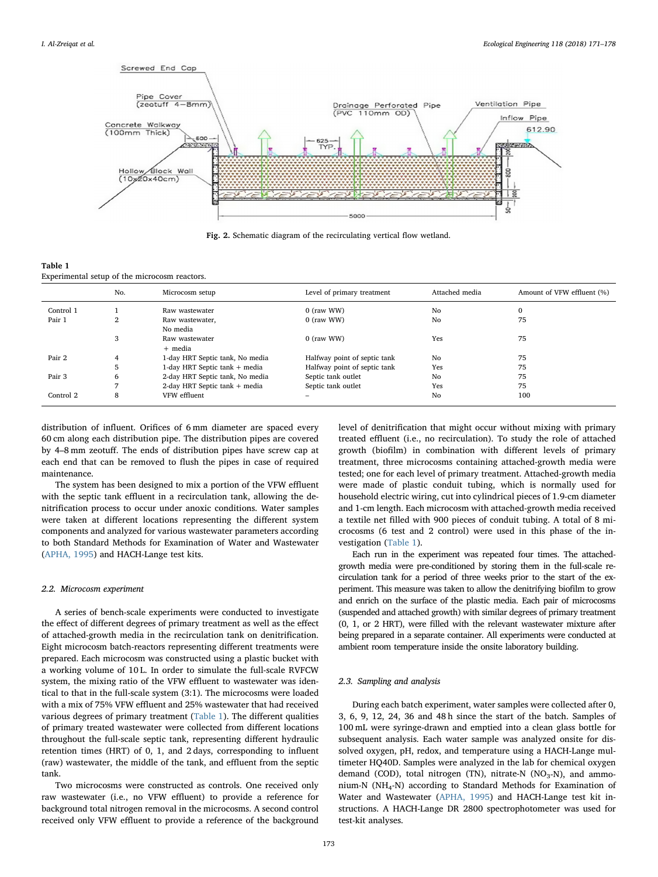<span id="page-2-0"></span>

Fig. 2. Schematic diagram of the recirculating vertical flow wetland.

<span id="page-2-1"></span>

| Table 1                                       |  |  |
|-----------------------------------------------|--|--|
| Experimental setup of the microcosm reactors. |  |  |

|           | No. | Microcosm setup                 | Level of primary treatment   | Attached media | Amount of VFW effluent (%) |
|-----------|-----|---------------------------------|------------------------------|----------------|----------------------------|
| Control 1 |     | Raw wastewater                  | 0 (raw WW)                   | No             | $\mathbf 0$                |
| Pair 1    | 2   | Raw wastewater,                 | $0$ (raw WW)                 | No             | 75                         |
|           |     | No media                        |                              |                |                            |
|           | 3   | Raw wastewater                  | 0 (raw WW)                   | Yes            | 75                         |
|           |     | + media                         |                              |                |                            |
| Pair 2    | 4   | 1-day HRT Septic tank, No media | Halfway point of septic tank | No             | 75                         |
|           | 5   | 1-day HRT Septic tank + media   | Halfway point of septic tank | Yes            | 75                         |
| Pair 3    | 6   | 2-day HRT Septic tank, No media | Septic tank outlet           | No             | 75                         |
|           |     | 2-day HRT Septic tank + media   | Septic tank outlet           | Yes            | 75                         |
| Control 2 | 8   | VFW effluent                    | -                            | No             | 100                        |

distribution of influent. Orifices of 6 mm diameter are spaced every 60 cm along each distribution pipe. The distribution pipes are covered by 4–8 mm zeotuff. The ends of distribution pipes have screw cap at each end that can be removed to flush the pipes in case of required maintenance.

The system has been designed to mix a portion of the VFW effluent with the septic tank effluent in a recirculation tank, allowing the denitrification process to occur under anoxic conditions. Water samples were taken at different locations representing the different system components and analyzed for various wastewater parameters according to both Standard Methods for Examination of Water and Wastewater ([APHA, 1995\)](#page-7-7) and HACH-Lange test kits.

## 2.2. Microcosm experiment

A series of bench-scale experiments were conducted to investigate the effect of different degrees of primary treatment as well as the effect of attached-growth media in the recirculation tank on denitrification. Eight microcosm batch-reactors representing different treatments were prepared. Each microcosm was constructed using a plastic bucket with a working volume of 10 L. In order to simulate the full-scale RVFCW system, the mixing ratio of the VFW effluent to wastewater was identical to that in the full-scale system (3:1). The microcosms were loaded with a mix of 75% VFW effluent and 25% wastewater that had received various degrees of primary treatment ([Table 1](#page-2-1)). The different qualities of primary treated wastewater were collected from different locations throughout the full-scale septic tank, representing different hydraulic retention times (HRT) of 0, 1, and 2 days, corresponding to influent (raw) wastewater, the middle of the tank, and effluent from the septic tank.

Two microcosms were constructed as controls. One received only raw wastewater (i.e., no VFW effluent) to provide a reference for background total nitrogen removal in the microcosms. A second control received only VFW effluent to provide a reference of the background

level of denitrification that might occur without mixing with primary treated effluent (i.e., no recirculation). To study the role of attached growth (biofilm) in combination with different levels of primary treatment, three microcosms containing attached-growth media were tested; one for each level of primary treatment. Attached-growth media were made of plastic conduit tubing, which is normally used for household electric wiring, cut into cylindrical pieces of 1.9-cm diameter and 1-cm length. Each microcosm with attached-growth media received a textile net filled with 900 pieces of conduit tubing. A total of 8 microcosms (6 test and 2 control) were used in this phase of the investigation ([Table 1\)](#page-2-1).

Each run in the experiment was repeated four times. The attachedgrowth media were pre-conditioned by storing them in the full-scale recirculation tank for a period of three weeks prior to the start of the experiment. This measure was taken to allow the denitrifying biofilm to grow and enrich on the surface of the plastic media. Each pair of microcosms (suspended and attached growth) with similar degrees of primary treatment (0, 1, or 2 HRT), were filled with the relevant wastewater mixture after being prepared in a separate container. All experiments were conducted at ambient room temperature inside the onsite laboratory building.

## 2.3. Sampling and analysis

During each batch experiment, water samples were collected after 0, 3, 6, 9, 12, 24, 36 and 48 h since the start of the batch. Samples of 100 mL were syringe-drawn and emptied into a clean glass bottle for subsequent analysis. Each water sample was analyzed onsite for dissolved oxygen, pH, redox, and temperature using a HACH-Lange multimeter HQ40D. Samples were analyzed in the lab for chemical oxygen demand (COD), total nitrogen (TN), nitrate-N ( $NO<sub>3</sub>$ -N), and ammonium-N (NH4-N) according to Standard Methods for Examination of Water and Wastewater ([APHA, 1995\)](#page-7-7) and HACH-Lange test kit instructions. A HACH-Lange DR 2800 spectrophotometer was used for test-kit analyses.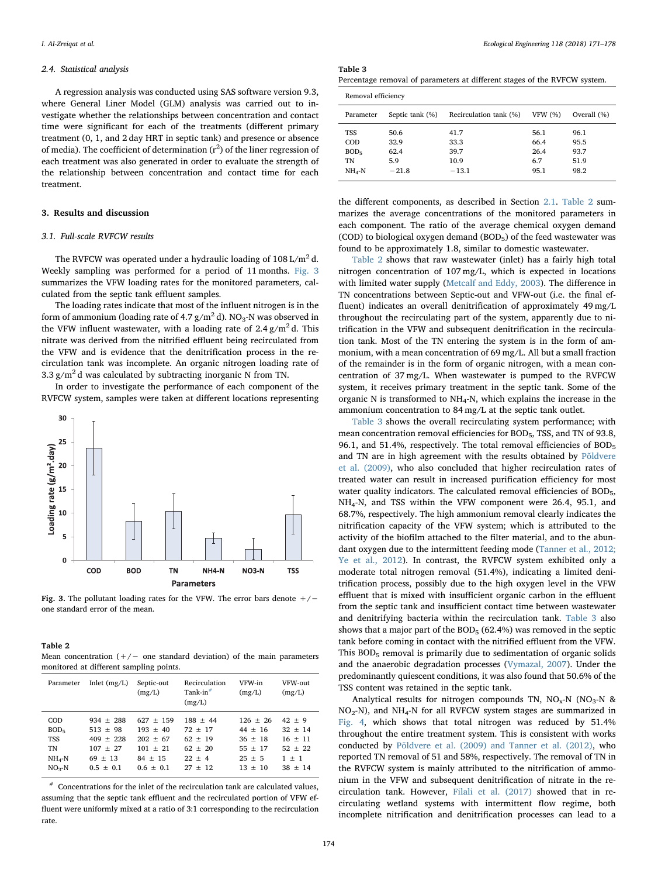#### 2.4. Statistical analysis

A regression analysis was conducted using SAS software version 9.3, where General Liner Model (GLM) analysis was carried out to investigate whether the relationships between concentration and contact time were significant for each of the treatments (different primary treatment (0, 1, and 2 day HRT in septic tank) and presence or absence of media). The coefficient of determination  $(r^2)$  of the liner regression of each treatment was also generated in order to evaluate the strength of the relationship between concentration and contact time for each treatment.

## 3. Results and discussion

## 3.1. Full-scale RVFCW results

<span id="page-3-1"></span>Table 2

The RVFCW was operated under a hydraulic loading of  $108 \text{ L/m}^2$  d. Weekly sampling was performed for a period of 11 months. [Fig. 3](#page-3-0) summarizes the VFW loading rates for the monitored parameters, calculated from the septic tank effluent samples.

The loading rates indicate that most of the influent nitrogen is in the form of ammonium (loading rate of 4.7  $\frac{g}{m^2}$ d). NO<sub>3</sub>-N was observed in the VFW influent wastewater, with a loading rate of  $2.4 \text{ g/m}^2$  d. This nitrate was derived from the nitrified effluent being recirculated from the VFW and is evidence that the denitrification process in the recirculation tank was incomplete. An organic nitrogen loading rate of 3.3  $g/m^2$  d was calculated by subtracting inorganic N from TN.

In order to investigate the performance of each component of the RVFCW system, samples were taken at different locations representing

<span id="page-3-0"></span>

Fig. 3. The pollutant loading rates for the VFW. The error bars denote +/− one standard error of the mean.

| 1001 L                                                                    |  |  |
|---------------------------------------------------------------------------|--|--|
| Mean concentration $(+/-)$ one standard deviation) of the main parameters |  |  |
| monitored at different sampling points.                                   |  |  |

| Parameter        | Inlet $(mg/L)$ | Septic-out    | Recirculation<br>Tank-in $#$ | VFW-in     | VFW-out     |
|------------------|----------------|---------------|------------------------------|------------|-------------|
|                  |                | (mg/L)        | (mg/L)                       | (mg/L)     | (mg/L)      |
| <b>COD</b>       | $934 \pm 288$  | $627 \pm 159$ | $188 + 44$                   | $126 + 26$ | $42 \pm 9$  |
| BOD <sub>5</sub> | $513 \pm 98$   | $193 + 40$    | $72 + 17$                    | $44 + 16$  | $32 \pm 14$ |
| <b>TSS</b>       | $409 + 228$    | $202 \pm 67$  | $62 + 19$                    | $36 + 18$  | $16 + 11$   |
| <b>TN</b>        | $107 \pm 27$   | $101 + 21$    | $62 \pm 20$                  | $55 + 17$  | $52 + 22$   |
| $NH4-N$          | $69 \pm 13$    | $84 \pm 15$   | $22 + 4$                     | $25 + 5$   | $1 + 1$     |
| $NO3-N$          | $0.5 \pm 0.1$  | $0.6 \pm 0.1$ | $27 + 12$                    | $13 + 10$  | $38 + 14$   |

<span id="page-3-3"></span> $*$  Concentrations for the inlet of the recirculation tank are calculated values, assuming that the septic tank effluent and the recirculated portion of VFW effluent were uniformly mixed at a ratio of 3:1 corresponding to the recirculation rate.

<span id="page-3-2"></span>

| Percentage removal of parameters at different stages of the RVFCW system. |  |
|---------------------------------------------------------------------------|--|
|---------------------------------------------------------------------------|--|

| Removal efficiency |                 |                        |                |             |  |  |
|--------------------|-----------------|------------------------|----------------|-------------|--|--|
| Parameter          | Septic tank (%) | Recirculation tank (%) | <b>VFW (%)</b> | Overall (%) |  |  |
| TSS                | 50.6            | 41.7                   | 56.1           | 96.1        |  |  |
| COD                | 32.9            | 33.3                   | 66.4           | 95.5        |  |  |
| BOD <sub>5</sub>   | 62.4            | 39.7                   | 26.4           | 93.7        |  |  |
| TN                 | 5.9             | 10.9                   | 6.7            | 51.9        |  |  |
| $NH4-N$            | $-21.8$         | $-13.1$                | 95.1           | 98.2        |  |  |
|                    |                 |                        |                |             |  |  |

the different components, as described in Section [2.1](#page-1-1). [Table 2](#page-3-1) summarizes the average concentrations of the monitored parameters in each component. The ratio of the average chemical oxygen demand (COD) to biological oxygen demand (BOD $_5$ ) of the feed wastewater was found to be approximately 1.8, similar to domestic wastewater.

[Table 2](#page-3-1) shows that raw wastewater (inlet) has a fairly high total nitrogen concentration of 107 mg/L, which is expected in locations with limited water supply [\(Metcalf and Eddy, 2003](#page-7-8)). The difference in TN concentrations between Septic-out and VFW-out (i.e. the final effluent) indicates an overall denitrification of approximately 49 mg/L throughout the recirculating part of the system, apparently due to nitrification in the VFW and subsequent denitrification in the recirculation tank. Most of the TN entering the system is in the form of ammonium, with a mean concentration of 69 mg/L. All but a small fraction of the remainder is in the form of organic nitrogen, with a mean concentration of 37 mg/L. When wastewater is pumped to the RVFCW system, it receives primary treatment in the septic tank. Some of the organic N is transformed to NH4-N, which explains the increase in the ammonium concentration to 84 mg/L at the septic tank outlet.

[Table 3](#page-3-2) shows the overall recirculating system performance; with mean concentration removal efficiencies for BOD<sub>5</sub>, TSS, and TN of 93.8, 96.1, and 51.4%, respectively. The total removal efficiencies of  $BOD<sub>5</sub>$ and TN are in high agreement with the results obtained by [Põldvere](#page-7-9) [et al. \(2009\),](#page-7-9) who also concluded that higher recirculation rates of treated water can result in increased purification efficiency for most water quality indicators. The calculated removal efficiencies of BOD<sub>5</sub>, NH4-N, and TSS within the VFW component were 26.4, 95.1, and 68.7%, respectively. The high ammonium removal clearly indicates the nitrification capacity of the VFW system; which is attributed to the activity of the biofilm attached to the filter material, and to the abundant oxygen due to the intermittent feeding mode [\(Tanner et al., 2012;](#page-7-10) [Ye et al., 2012](#page-7-10)). In contrast, the RVFCW system exhibited only a moderate total nitrogen removal (51.4%), indicating a limited denitrification process, possibly due to the high oxygen level in the VFW effluent that is mixed with insufficient organic carbon in the effluent from the septic tank and insufficient contact time between wastewater and denitrifying bacteria within the recirculation tank. [Table 3](#page-3-2) also shows that a major part of the  $BOD_5$  (62.4%) was removed in the septic tank before coming in contact with the nitrified effluent from the VFW. This BOD<sub>5</sub> removal is primarily due to sedimentation of organic solids and the anaerobic degradation processes [\(Vymazal, 2007](#page-7-1)). Under the predominantly quiescent conditions, it was also found that 50.6% of the TSS content was retained in the septic tank.

Analytical results for nitrogen compounds TN,  $NO<sub>x</sub>-N$  ( $NO<sub>3</sub>-N$  &  $NO<sub>2</sub>-N$ ), and  $NH<sub>4</sub>-N$  for all RVFCW system stages are summarized in [Fig. 4,](#page-4-0) which shows that total nitrogen was reduced by 51.4% throughout the entire treatment system. This is consistent with works conducted by [Põldvere et al. \(2009\) and Tanner et al. \(2012\),](#page-7-9) who reported TN removal of 51 and 58%, respectively. The removal of TN in the RVFCW system is mainly attributed to the nitrification of ammonium in the VFW and subsequent denitrification of nitrate in the recirculation tank. However, [Filali et al. \(2017\)](#page-7-11) showed that in recirculating wetland systems with intermittent flow regime, both incomplete nitrification and denitrification processes can lead to a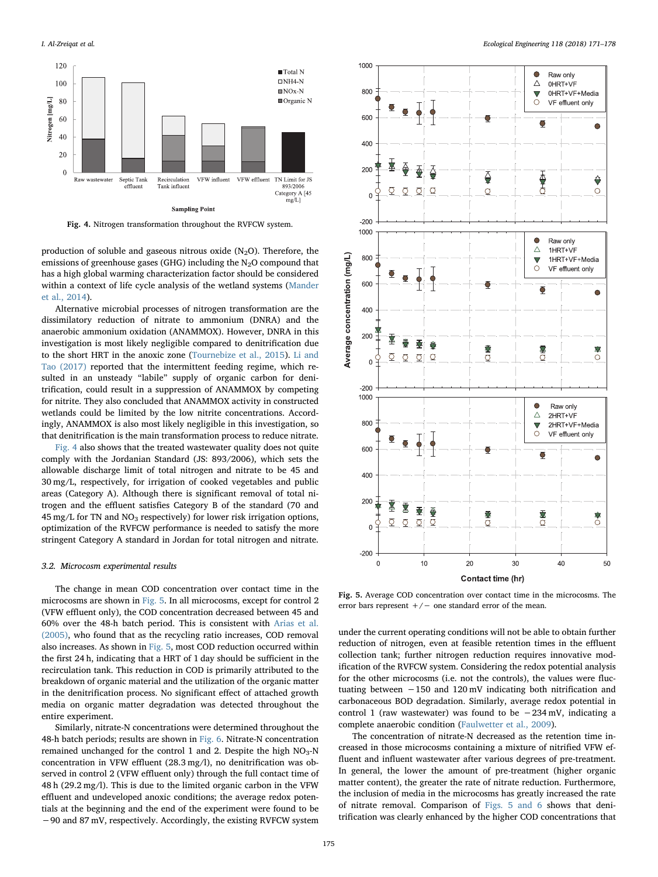<span id="page-4-0"></span>

Fig. 4. Nitrogen transformation throughout the RVFCW system.

production of soluble and gaseous nitrous oxide  $(N_2O)$ . Therefore, the emissions of greenhouse gases (GHG) including the  $N<sub>2</sub>O$  compound that has a high global warming characterization factor should be considered within a context of life cycle analysis of the wetland systems ([Mander](#page-7-12) [et al., 2014](#page-7-12)).

Alternative microbial processes of nitrogen transformation are the dissimilatory reduction of nitrate to ammonium (DNRA) and the anaerobic ammonium oxidation (ANAMMOX). However, DNRA in this investigation is most likely negligible compared to denitrification due to the short HRT in the anoxic zone ([Tournebize et al., 2015\)](#page-7-13). [Li and](#page-7-14) [Tao \(2017\)](#page-7-14) reported that the intermittent feeding regime, which resulted in an unsteady "labile" supply of organic carbon for denitrification, could result in a suppression of ANAMMOX by competing for nitrite. They also concluded that ANAMMOX activity in constructed wetlands could be limited by the low nitrite concentrations. Accordingly, ANAMMOX is also most likely negligible in this investigation, so that denitrification is the main transformation process to reduce nitrate.

[Fig. 4](#page-4-0) also shows that the treated wastewater quality does not quite comply with the Jordanian Standard (JS: 893/2006), which sets the allowable discharge limit of total nitrogen and nitrate to be 45 and 30 mg/L, respectively, for irrigation of cooked vegetables and public areas (Category A). Although there is significant removal of total nitrogen and the effluent satisfies Category B of the standard (70 and 45 mg/L for TN and  $NO<sub>3</sub>$  respectively) for lower risk irrigation options, optimization of the RVFCW performance is needed to satisfy the more stringent Category A standard in Jordan for total nitrogen and nitrate.

#### 3.2. Microcosm experimental results

The change in mean COD concentration over contact time in the microcosms are shown in [Fig. 5.](#page-4-1) In all microcosms, except for control 2 (VFW effluent only), the COD concentration decreased between 45 and 60% over the 48-h batch period. This is consistent with [Arias et al.](#page-7-3) [\(2005\),](#page-7-3) who found that as the recycling ratio increases, COD removal also increases. As shown in [Fig. 5,](#page-4-1) most COD reduction occurred within the first 24 h, indicating that a HRT of 1 day should be sufficient in the recirculation tank. This reduction in COD is primarily attributed to the breakdown of organic material and the utilization of the organic matter in the denitrification process. No significant effect of attached growth media on organic matter degradation was detected throughout the entire experiment.

Similarly, nitrate-N concentrations were determined throughout the 48-h batch periods; results are shown in [Fig. 6](#page-5-0). Nitrate-N concentration remained unchanged for the control 1 and 2. Despite the high  $NO<sub>3</sub>-N$ concentration in VFW effluent (28.3 mg/l), no denitrification was observed in control 2 (VFW effluent only) through the full contact time of 48 h (29.2 mg/l). This is due to the limited organic carbon in the VFW effluent and undeveloped anoxic conditions; the average redox potentials at the beginning and the end of the experiment were found to be −90 and 87 mV, respectively. Accordingly, the existing RVFCW system

<span id="page-4-1"></span>

Fig. 5. Average COD concentration over contact time in the microcosms. The error bars represent  $+/-$  one standard error of the mean.

under the current operating conditions will not be able to obtain further reduction of nitrogen, even at feasible retention times in the effluent collection tank; further nitrogen reduction requires innovative modification of the RVFCW system. Considering the redox potential analysis for the other microcosms (i.e. not the controls), the values were fluctuating between −150 and 120 mV indicating both nitrification and carbonaceous BOD degradation. Similarly, average redox potential in control 1 (raw wastewater) was found to be −234 mV, indicating a complete anaerobic condition ([Faulwetter et al., 2009](#page-7-15)).

The concentration of nitrate-N decreased as the retention time increased in those microcosms containing a mixture of nitrified VFW effluent and influent wastewater after various degrees of pre-treatment. In general, the lower the amount of pre-treatment (higher organic matter content), the greater the rate of nitrate reduction. Furthermore, the inclusion of media in the microcosms has greatly increased the rate of nitrate removal. Comparison of [Figs. 5 and 6](#page-4-1) shows that denitrification was clearly enhanced by the higher COD concentrations that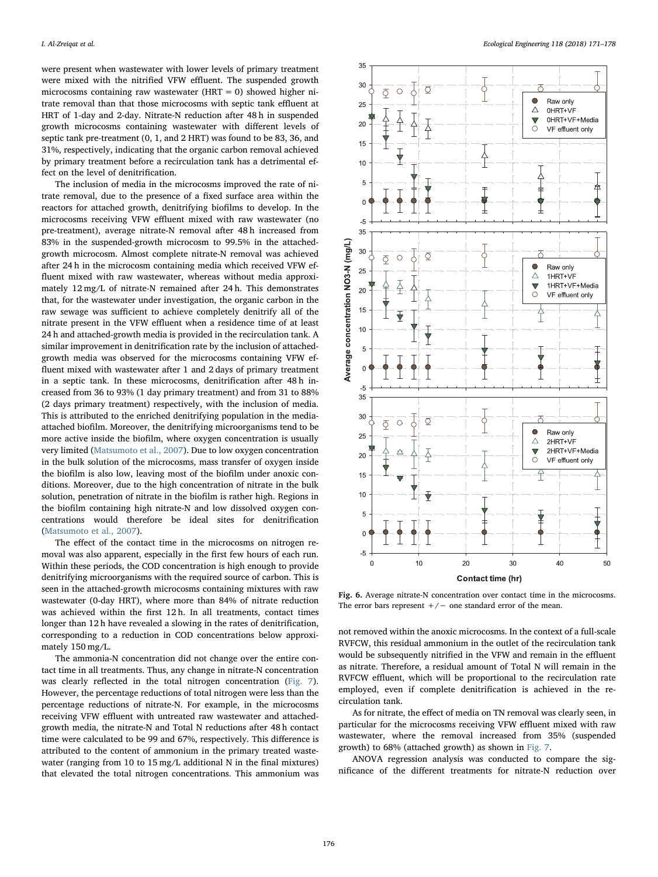were present when wastewater with lower levels of primary treatment were mixed with the nitrified VFW effluent. The suspended growth microcosms containing raw wastewater ( $HRT = 0$ ) showed higher nitrate removal than that those microcosms with septic tank effluent at HRT of 1-day and 2-day. Nitrate-N reduction after 48 h in suspended growth microcosms containing wastewater with different levels of septic tank pre-treatment (0, 1, and 2 HRT) was found to be 83, 36, and 31%, respectively, indicating that the organic carbon removal achieved by primary treatment before a recirculation tank has a detrimental effect on the level of denitrification.

The inclusion of media in the microcosms improved the rate of nitrate removal, due to the presence of a fixed surface area within the reactors for attached growth, denitrifying biofilms to develop. In the microcosms receiving VFW effluent mixed with raw wastewater (no pre-treatment), average nitrate-N removal after 48 h increased from 83% in the suspended-growth microcosm to 99.5% in the attachedgrowth microcosm. Almost complete nitrate-N removal was achieved after 24 h in the microcosm containing media which received VFW effluent mixed with raw wastewater, whereas without media approximately 12 mg/L of nitrate-N remained after 24 h. This demonstrates that, for the wastewater under investigation, the organic carbon in the raw sewage was sufficient to achieve completely denitrify all of the nitrate present in the VFW effluent when a residence time of at least 24 h and attached-growth media is provided in the recirculation tank. A similar improvement in denitrification rate by the inclusion of attachedgrowth media was observed for the microcosms containing VFW effluent mixed with wastewater after 1 and 2 days of primary treatment in a septic tank. In these microcosms, denitrification after 48 h increased from 36 to 93% (1 day primary treatment) and from 31 to 88% (2 days primary treatment) respectively, with the inclusion of media. This is attributed to the enriched denitrifying population in the mediaattached biofilm. Moreover, the denitrifying microorganisms tend to be more active inside the biofilm, where oxygen concentration is usually very limited [\(Matsumoto et al., 2007\)](#page-7-16). Due to low oxygen concentration in the bulk solution of the microcosms, mass transfer of oxygen inside the biofilm is also low, leaving most of the biofilm under anoxic conditions. Moreover, due to the high concentration of nitrate in the bulk solution, penetration of nitrate in the biofilm is rather high. Regions in the biofilm containing high nitrate-N and low dissolved oxygen concentrations would therefore be ideal sites for denitrification ([Matsumoto et al., 2007\)](#page-7-16).

The effect of the contact time in the microcosms on nitrogen removal was also apparent, especially in the first few hours of each run. Within these periods, the COD concentration is high enough to provide denitrifying microorganisms with the required source of carbon. This is seen in the attached-growth microcosms containing mixtures with raw wastewater (0-day HRT), where more than 84% of nitrate reduction was achieved within the first 12 h. In all treatments, contact times longer than 12 h have revealed a slowing in the rates of denitrification, corresponding to a reduction in COD concentrations below approximately 150 mg/L.

The ammonia-N concentration did not change over the entire contact time in all treatments. Thus, any change in nitrate-N concentration was clearly reflected in the total nitrogen concentration ([Fig. 7](#page-6-0)). However, the percentage reductions of total nitrogen were less than the percentage reductions of nitrate-N. For example, in the microcosms receiving VFW effluent with untreated raw wastewater and attachedgrowth media, the nitrate-N and Total N reductions after 48 h contact time were calculated to be 99 and 67%, respectively. This difference is attributed to the content of ammonium in the primary treated wastewater (ranging from 10 to 15 mg/L additional N in the final mixtures) that elevated the total nitrogen concentrations. This ammonium was

<span id="page-5-0"></span>

Fig. 6. Average nitrate-N concentration over contact time in the microcosms. The error bars represent  $+/-$  one standard error of the mean.

not removed within the anoxic microcosms. In the context of a full-scale RVFCW, this residual ammonium in the outlet of the recirculation tank would be subsequently nitrified in the VFW and remain in the effluent as nitrate. Therefore, a residual amount of Total N will remain in the RVFCW effluent, which will be proportional to the recirculation rate employed, even if complete denitrification is achieved in the recirculation tank.

As for nitrate, the effect of media on TN removal was clearly seen, in particular for the microcosms receiving VFW effluent mixed with raw wastewater, where the removal increased from 35% (suspended growth) to 68% (attached growth) as shown in [Fig. 7.](#page-6-0)

ANOVA regression analysis was conducted to compare the significance of the different treatments for nitrate-N reduction over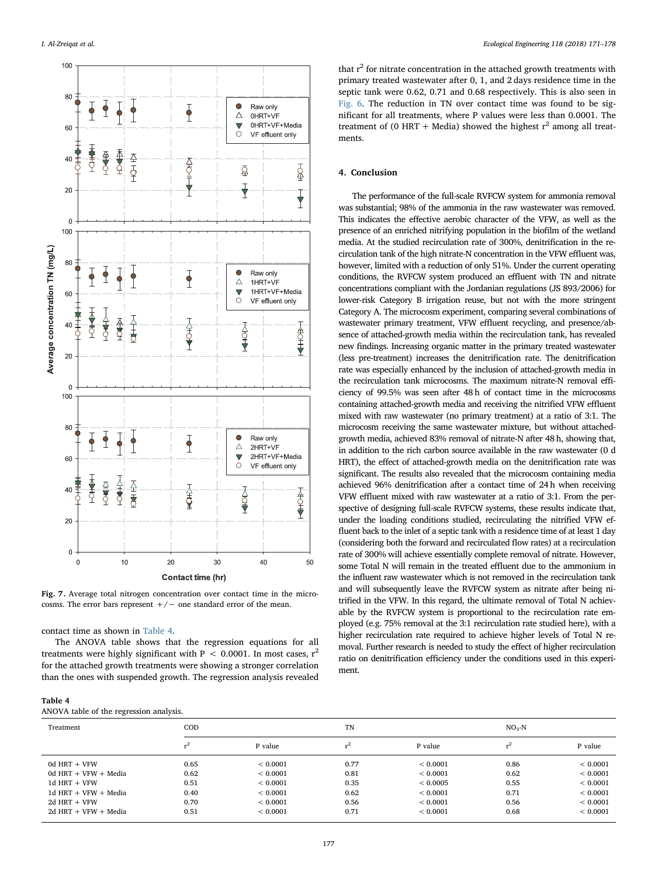<span id="page-6-0"></span>

Fig. 7. Average total nitrogen concentration over contact time in the microcosms. The error bars represent  $+/-$  one standard error of the mean.

contact time as shown in [Table 4](#page-6-1).

The ANOVA table shows that the regression equations for all treatments were highly significant with P < 0.0001. In most cases,  $r^2$ for the attached growth treatments were showing a stronger correlation than the ones with suspended growth. The regression analysis revealed

<span id="page-6-1"></span>

|  | 'able |  |
|--|-------|--|
|--|-------|--|

ANOVA table of the regression analysis.

that  $r^2$  for nitrate concentration in the attached growth treatments with primary treated wastewater after 0, 1, and 2 days residence time in the septic tank were 0.62, 0.71 and 0.68 respectively. This is also seen in [Fig. 6.](#page-5-0) The reduction in TN over contact time was found to be significant for all treatments, where P values were less than 0.0001. The treatment of (0 HRT + Media) showed the highest  $r^2$  among all treatments.

## 4. Conclusion

The performance of the full-scale RVFCW system for ammonia removal was substantial; 98% of the ammonia in the raw wastewater was removed. This indicates the effective aerobic character of the VFW, as well as the presence of an enriched nitrifying population in the biofilm of the wetland media. At the studied recirculation rate of 300%, denitrification in the recirculation tank of the high nitrate-N concentration in the VFW effluent was, however, limited with a reduction of only 51%. Under the current operating conditions, the RVFCW system produced an effluent with TN and nitrate concentrations compliant with the Jordanian regulations (JS 893/2006) for lower-risk Category B irrigation reuse, but not with the more stringent Category A. The microcosm experiment, comparing several combinations of wastewater primary treatment, VFW effluent recycling, and presence/absence of attached-growth media within the recirculation tank, has revealed new findings. Increasing organic matter in the primary treated wastewater (less pre-treatment) increases the denitrification rate. The denitrification rate was especially enhanced by the inclusion of attached-growth media in the recirculation tank microcosms. The maximum nitrate-N removal efficiency of 99.5% was seen after 48 h of contact time in the microcosms containing attached-growth media and receiving the nitrified VFW effluent mixed with raw wastewater (no primary treatment) at a ratio of 3:1. The microcosm receiving the same wastewater mixture, but without attachedgrowth media, achieved 83% removal of nitrate-N after 48 h, showing that, in addition to the rich carbon source available in the raw wastewater (0 d HRT), the effect of attached-growth media on the denitrification rate was significant. The results also revealed that the microcosm containing media achieved 96% denitrification after a contact time of 24 h when receiving VFW effluent mixed with raw wastewater at a ratio of 3:1. From the perspective of designing full-scale RVFCW systems, these results indicate that, under the loading conditions studied, recirculating the nitrified VFW effluent back to the inlet of a septic tank with a residence time of at least 1 day (considering both the forward and recirculated flow rates) at a recirculation rate of 300% will achieve essentially complete removal of nitrate. However, some Total N will remain in the treated effluent due to the ammonium in the influent raw wastewater which is not removed in the recirculation tank and will subsequently leave the RVFCW system as nitrate after being nitrified in the VFW. In this regard, the ultimate removal of Total N achievable by the RVFCW system is proportional to the recirculation rate employed (e.g. 75% removal at the 3:1 recirculation rate studied here), with a higher recirculation rate required to achieve higher levels of Total N removal. Further research is needed to study the effect of higher recirculation ratio on denitrification efficiency under the conditions used in this experiment.

| .                      |            |          |         |          |      |          |  |  |
|------------------------|------------|----------|---------|----------|------|----------|--|--|
| Treatment              | TN<br>COD. |          | $NO3-N$ |          |      |          |  |  |
|                        | $^{2}$     | P value  | n       | P value  |      | P value  |  |  |
| $0d$ HRT + VFW         | 0.65       | < 0.0001 | 0.77    | < 0.0001 | 0.86 | < 0.0001 |  |  |
| 0d HRT + $VFW + Media$ | 0.62       | < 0.0001 | 0.81    | < 0.0001 | 0.62 | < 0.0001 |  |  |
| $1d$ HRT + VFW         | 0.51       | < 0.0001 | 0.35    | < 0.0005 | 0.55 | < 0.0001 |  |  |
| 1d HRT + $VFW + Media$ | 0.40       | < 0.0001 | 0.62    | < 0.0001 | 0.71 | < 0.0001 |  |  |
| $2d$ HRT + VFW         | 0.70       | < 0.0001 | 0.56    | < 0.0001 | 0.56 | < 0.0001 |  |  |
| $2d$ HRT + VFW + Media | 0.51       | < 0.0001 | 0.71    | < 0.0001 | 0.68 | < 0.0001 |  |  |
|                        |            |          |         |          |      |          |  |  |